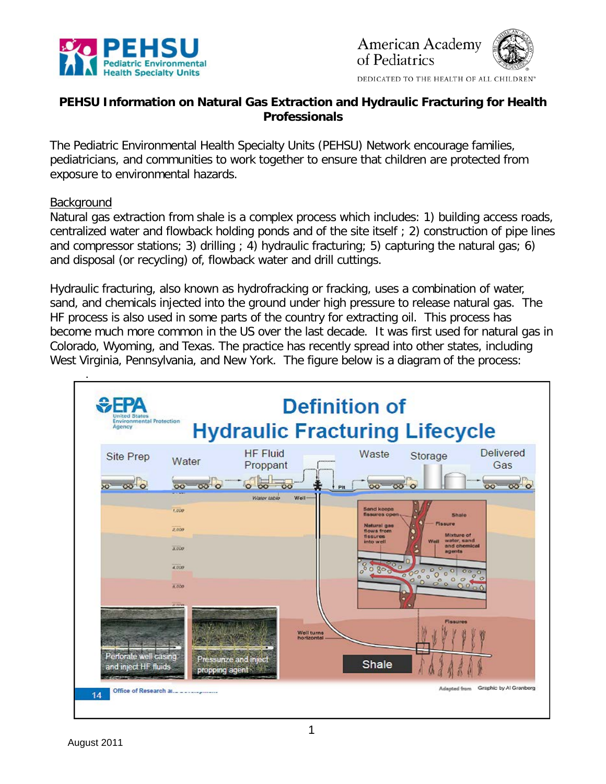



DEDICATED TO THE HEALTH OF ALL CHILDREN'

# **PEHSU Information on Natural Gas Extraction and Hydraulic Fracturing for Health Professionals**

The Pediatric Environmental Health Specialty Units (PEHSU) Network encourage families, pediatricians, and communities to work together to ensure that children are protected from exposure to environmental hazards.

#### **Background**

Natural gas extraction from shale is a complex process which includes: 1) building access roads, centralized water and flowback holding ponds and of the site itself ; 2) construction of pipe lines and compressor stations; 3) drilling  $(4)$  hydraulic fracturing; 5) capturing the natural gas; 6) and disposal (or recycling) of, flowback water and drill cuttings.

Hydraulic fracturing, also known as hydrofracking or fracking, uses a combination of water, sand, and chemicals injected into the ground under high pressure to release natural gas. The HF process is also used in some parts of the country for extracting oil. This process has become much more common in the US over the last decade. It was first used for natural gas in Colorado, Wyoming, and Texas. The practice has recently spread into other states, including West Virginia, Pennsylvania, and New York. The figure below is a diagram of the process:

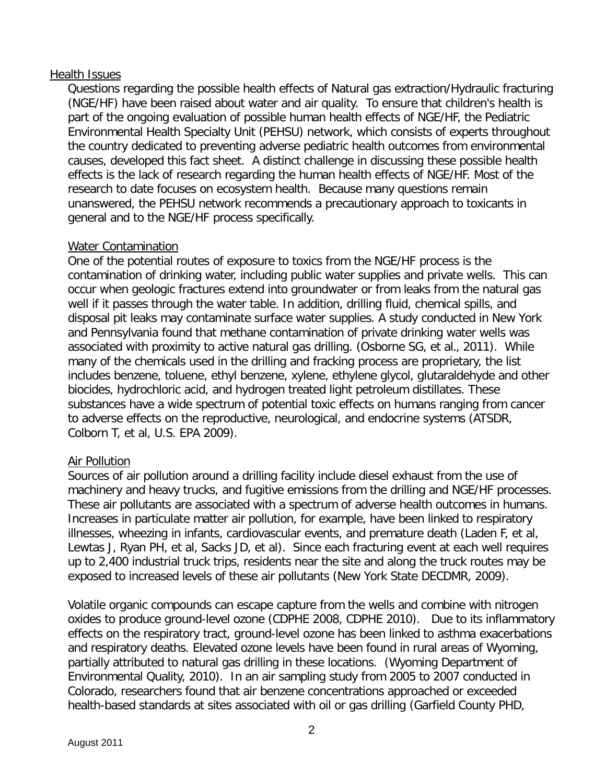## Health Issues

Questions regarding the possible health effects of Natural gas extraction/Hydraulic fracturing (NGE/HF) have been raised about water and air quality. To ensure that children's health is part of the ongoing evaluation of possible human health effects of NGE/HF, the Pediatric Environmental Health Specialty Unit (PEHSU) network, which consists of experts throughout the country dedicated to preventing adverse pediatric health outcomes from environmental causes, developed this fact sheet. A distinct challenge in discussing these possible health effects is the lack of research regarding the human health effects of NGE/HF. Most of the research to date focuses on ecosystem health. Because many questions remain unanswered, the PEHSU network recommends a precautionary approach to toxicants in general and to the NGE/HF process specifically.

## Water Contamination

One of the potential routes of exposure to toxics from the NGE/HF process is the contamination of drinking water, including public water supplies and private wells. This can occur when geologic fractures extend into groundwater or from leaks from the natural gas well if it passes through the water table. In addition, drilling fluid, chemical spills, and disposal pit leaks may contaminate surface water supplies. A study conducted in New York and Pennsylvania found that methane contamination of private drinking water wells was associated with proximity to active natural gas drilling. (Osborne SG, et al., 2011). While many of the chemicals used in the drilling and fracking process are proprietary, the list includes benzene, toluene, ethyl benzene, xylene, ethylene glycol, glutaraldehyde and other biocides, hydrochloric acid, and hydrogen treated light petroleum distillates. These substances have a wide spectrum of potential toxic effects on humans ranging from cancer to adverse effects on the reproductive, neurological, and endocrine systems (ATSDR, Colborn T, et al, U.S. EPA 2009).

# Air Pollution

Sources of air pollution around a drilling facility include diesel exhaust from the use of machinery and heavy trucks, and fugitive emissions from the drilling and NGE/HF processes. These air pollutants are associated with a spectrum of adverse health outcomes in humans. Increases in particulate matter air pollution, for example, have been linked to respiratory illnesses, wheezing in infants, cardiovascular events, and premature death (Laden F, et al, Lewtas J, Ryan PH, et al, Sacks JD, et al). Since each fracturing event at each well requires up to 2,400 industrial truck trips, residents near the site and along the truck routes may be exposed to increased levels of these air pollutants (New York State DECDMR, 2009).

Volatile organic compounds can escape capture from the wells and combine with nitrogen oxides to produce ground-level ozone (CDPHE 2008, CDPHE 2010). Due to its inflammatory effects on the respiratory tract, ground-level ozone has been linked to asthma exacerbations and respiratory deaths. Elevated ozone levels have been found in rural areas of Wyoming, partially attributed to natural gas drilling in these locations. (Wyoming Department of Environmental Quality, 2010). In an air sampling study from 2005 to 2007 conducted in Colorado, researchers found that air benzene concentrations approached or exceeded health-based standards at sites associated with oil or gas drilling (Garfield County PHD,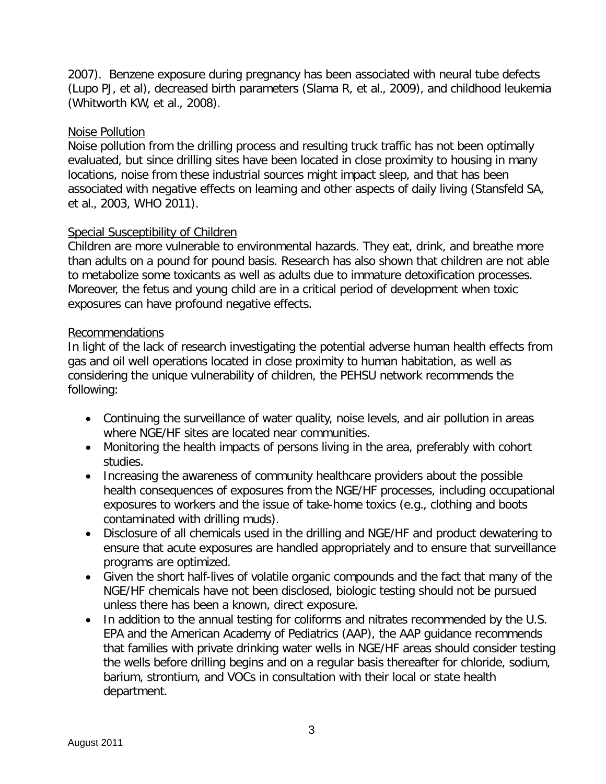2007). Benzene exposure during pregnancy has been associated with neural tube defects (Lupo PJ, et al), decreased birth parameters (Slama R, et al., 2009), and childhood leukemia (Whitworth KW, et al., 2008).

## Noise Pollution

Noise pollution from the drilling process and resulting truck traffic has not been optimally evaluated, but since drilling sites have been located in close proximity to housing in many locations, noise from these industrial sources might impact sleep, and that has been associated with negative effects on learning and other aspects of daily living (Stansfeld SA, et al., 2003, WHO 2011).

## Special Susceptibility of Children

Children are more vulnerable to environmental hazards. They eat, drink, and breathe more than adults on a pound for pound basis. Research has also shown that children are not able to metabolize some toxicants as well as adults due to immature detoxification processes. Moreover, the fetus and young child are in a critical period of development when toxic exposures can have profound negative effects.

#### Recommendations

In light of the lack of research investigating the potential adverse human health effects from gas and oil well operations located in close proximity to human habitation, as well as considering the unique vulnerability of children, the PEHSU network recommends the following:

- Continuing the surveillance of water quality, noise levels, and air pollution in areas where NGE/HF sites are located near communities.
- Monitoring the health impacts of persons living in the area, preferably with cohort studies.
- Increasing the awareness of community healthcare providers about the possible health consequences of exposures from the NGE/HF processes, including occupational exposures to workers and the issue of take-home toxics (e.g., clothing and boots contaminated with drilling muds).
- Disclosure of all chemicals used in the drilling and NGE/HF and product dewatering to ensure that acute exposures are handled appropriately and to ensure that surveillance programs are optimized.
- Given the short half-lives of volatile organic compounds and the fact that many of the NGE/HF chemicals have not been disclosed, biologic testing should not be pursued unless there has been a known, direct exposure.
- In addition to the annual testing for coliforms and nitrates recommended by the U.S. EPA and the American Academy of Pediatrics (AAP), the AAP guidance recommends that families with private drinking water wells in NGE/HF areas should consider testing the wells before drilling begins and on a regular basis thereafter for chloride, sodium, barium, strontium, and VOCs in consultation with their local or state health department.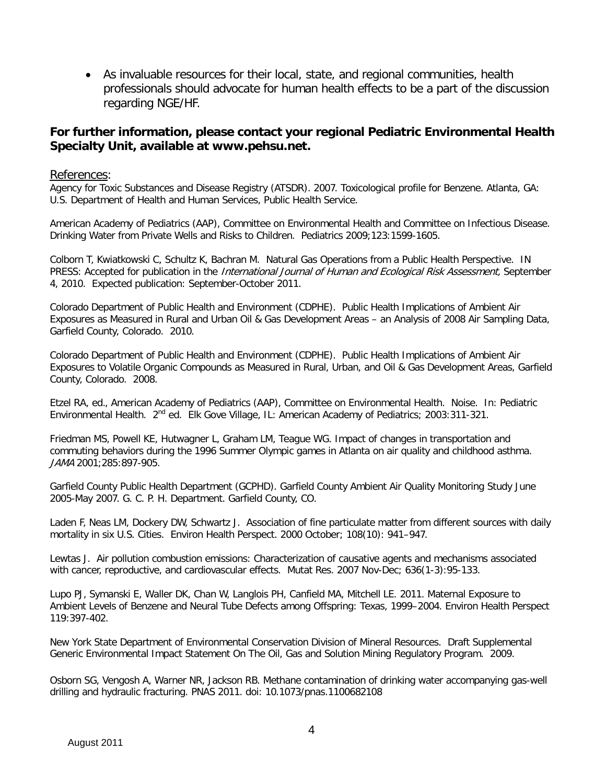• As invaluable resources for their local, state, and regional communities, health professionals should advocate for human health effects to be a part of the discussion regarding NGE/HF.

#### **For further information, please contact your regional Pediatric Environmental Health Specialty Unit, available at www.pehsu.net.**

#### References:

Agency for Toxic Substances and Disease Registry (ATSDR). 2007. Toxicological profile for Benzene. Atlanta, GA: U.S. Department of Health and Human Services, Public Health Service.

American Academy of Pediatrics (AAP), Committee on Environmental Health and Committee on Infectious Disease. Drinking Water from Private Wells and Risks to Children. Pediatrics 2009;123:1599-1605.

Colborn T, Kwiatkowski C, Schultz K, Bachran M. Natural Gas Operations from a Public Health Perspective. IN PRESS: Accepted for publication in the International Journal of Human and Ecological Risk Assessment, September 4, 2010. Expected publication: September-October 2011.

Colorado Department of Public Health and Environment (CDPHE). Public Health Implications of Ambient Air Exposures as Measured in Rural and Urban Oil & Gas Development Areas – an Analysis of 2008 Air Sampling Data, Garfield County, Colorado. 2010.

Colorado Department of Public Health and Environment (CDPHE). Public Health Implications of Ambient Air Exposures to Volatile Organic Compounds as Measured in Rural, Urban, and Oil & Gas Development Areas, Garfield County, Colorado. 2008.

Etzel RA, ed., American Academy of Pediatrics (AAP), Committee on Environmental Health. Noise. In: Pediatric Environmental Health. 2<sup>nd</sup> ed. Elk Gove Village, IL: American Academy of Pediatrics; 2003:311-321.

Friedman MS, Powell KE, Hutwagner L, Graham LM, Teague WG. Impact of changes in transportation and commuting behaviors during the 1996 Summer Olympic games in Atlanta on air quality and childhood asthma. JAMA 2001;285:897-905.

Garfield County Public Health Department (GCPHD). Garfield County Ambient Air Quality Monitoring Study June 2005-May 2007. G. C. P. H. Department. Garfield County, CO.

Laden F, Neas LM, Dockery DW, Schwartz J. Association of fine particulate matter from different sources with daily mortality in six U.S. Cities. Environ Health Perspect. 2000 October; 108(10): 941–947.

Lewtas J. Air pollution combustion emissions: Characterization of causative agents and mechanisms associated with cancer, reproductive, and cardiovascular effects. Mutat Res. 2007 Nov-Dec; 636(1-3):95-133.

Lupo PJ, Symanski E, Waller DK, Chan W, Langlois PH, Canfield MA, Mitchell LE. 2011. Maternal Exposure to Ambient Levels of Benzene and Neural Tube Defects among Offspring: Texas, 1999–2004. Environ Health Perspect 119:397-402.

New York State Department of Environmental Conservation Division of Mineral Resources. Draft Supplemental Generic Environmental Impact Statement On The Oil, Gas and Solution Mining Regulatory Program. 2009.

Osborn SG, Vengosh A, Warner NR, Jackson RB. Methane contamination of drinking water accompanying gas-well drilling and hydraulic fracturing. PNAS 2011. doi: 10.1073/pnas.1100682108